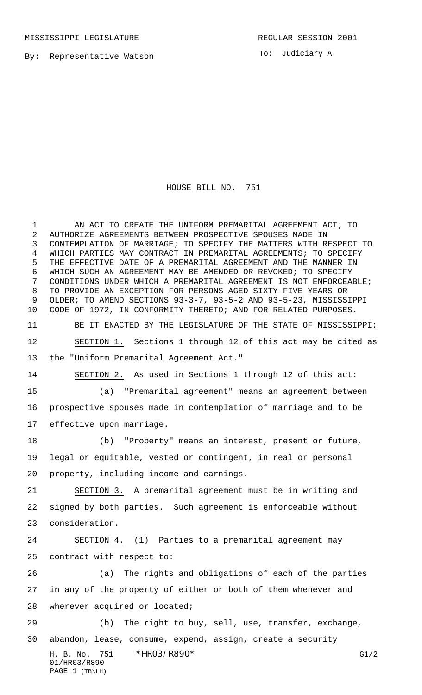By: Representative Watson

To: Judiciary A

## HOUSE BILL NO. 751

H. B. No. 751 \* HRO3/R890\* G1/2 01/HR03/R890 PAGE 1 (TB\LH) AN ACT TO CREATE THE UNIFORM PREMARITAL AGREEMENT ACT; TO AUTHORIZE AGREEMENTS BETWEEN PROSPECTIVE SPOUSES MADE IN CONTEMPLATION OF MARRIAGE; TO SPECIFY THE MATTERS WITH RESPECT TO WHICH PARTIES MAY CONTRACT IN PREMARITAL AGREEMENTS; TO SPECIFY THE EFFECTIVE DATE OF A PREMARITAL AGREEMENT AND THE MANNER IN WHICH SUCH AN AGREEMENT MAY BE AMENDED OR REVOKED; TO SPECIFY CONDITIONS UNDER WHICH A PREMARITAL AGREEMENT IS NOT ENFORCEABLE; TO PROVIDE AN EXCEPTION FOR PERSONS AGED SIXTY-FIVE YEARS OR OLDER; TO AMEND SECTIONS 93-3-7, 93-5-2 AND 93-5-23, MISSISSIPPI CODE OF 1972, IN CONFORMITY THERETO; AND FOR RELATED PURPOSES. BE IT ENACTED BY THE LEGISLATURE OF THE STATE OF MISSISSIPPI: SECTION 1. Sections 1 through 12 of this act may be cited as the "Uniform Premarital Agreement Act." SECTION 2. As used in Sections 1 through 12 of this act: (a) "Premarital agreement" means an agreement between prospective spouses made in contemplation of marriage and to be effective upon marriage. (b) "Property" means an interest, present or future, legal or equitable, vested or contingent, in real or personal property, including income and earnings. SECTION 3. A premarital agreement must be in writing and signed by both parties. Such agreement is enforceable without consideration. SECTION 4. (1) Parties to a premarital agreement may contract with respect to: (a) The rights and obligations of each of the parties in any of the property of either or both of them whenever and 28 wherever acquired or located; (b) The right to buy, sell, use, transfer, exchange, abandon, lease, consume, expend, assign, create a security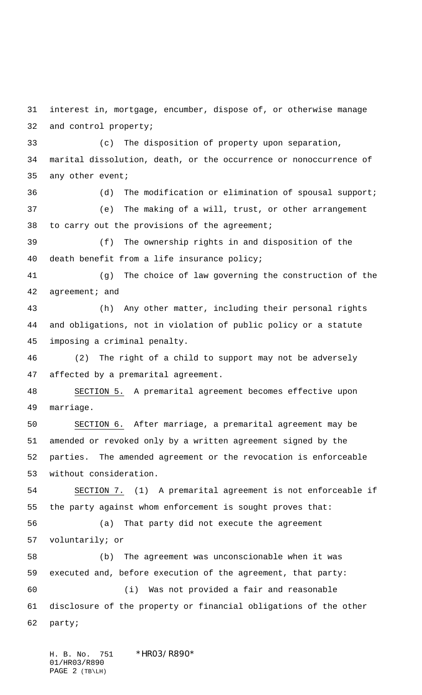interest in, mortgage, encumber, dispose of, or otherwise manage and control property;

 (c) The disposition of property upon separation, marital dissolution, death, or the occurrence or nonoccurrence of any other event;

 (d) The modification or elimination of spousal support; (e) The making of a will, trust, or other arrangement to carry out the provisions of the agreement;

 (f) The ownership rights in and disposition of the death benefit from a life insurance policy;

 (g) The choice of law governing the construction of the 42 agreement; and

 (h) Any other matter, including their personal rights and obligations, not in violation of public policy or a statute imposing a criminal penalty.

 (2) The right of a child to support may not be adversely affected by a premarital agreement.

 SECTION 5. A premarital agreement becomes effective upon marriage.

 SECTION 6. After marriage, a premarital agreement may be amended or revoked only by a written agreement signed by the parties. The amended agreement or the revocation is enforceable without consideration.

 SECTION 7. (1) A premarital agreement is not enforceable if the party against whom enforcement is sought proves that:

 (a) That party did not execute the agreement voluntarily; or

 (b) The agreement was unconscionable when it was executed and, before execution of the agreement, that party: (i) Was not provided a fair and reasonable disclosure of the property or financial obligations of the other party;

H. B. No. 751 \*HR03/R890\* 01/HR03/R890 PAGE 2 (TB\LH)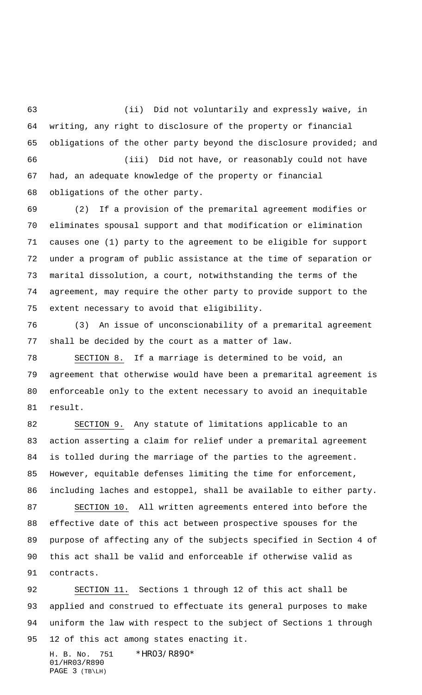(ii) Did not voluntarily and expressly waive, in writing, any right to disclosure of the property or financial obligations of the other party beyond the disclosure provided; and (iii) Did not have, or reasonably could not have

 had, an adequate knowledge of the property or financial obligations of the other party.

 (2) If a provision of the premarital agreement modifies or eliminates spousal support and that modification or elimination causes one (1) party to the agreement to be eligible for support under a program of public assistance at the time of separation or marital dissolution, a court, notwithstanding the terms of the agreement, may require the other party to provide support to the extent necessary to avoid that eligibility.

 (3) An issue of unconscionability of a premarital agreement shall be decided by the court as a matter of law.

 SECTION 8. If a marriage is determined to be void, an agreement that otherwise would have been a premarital agreement is enforceable only to the extent necessary to avoid an inequitable result.

 SECTION 9. Any statute of limitations applicable to an action asserting a claim for relief under a premarital agreement is tolled during the marriage of the parties to the agreement. However, equitable defenses limiting the time for enforcement, including laches and estoppel, shall be available to either party.

 SECTION 10. All written agreements entered into before the effective date of this act between prospective spouses for the purpose of affecting any of the subjects specified in Section 4 of this act shall be valid and enforceable if otherwise valid as contracts.

 SECTION 11. Sections 1 through 12 of this act shall be applied and construed to effectuate its general purposes to make uniform the law with respect to the subject of Sections 1 through 12 of this act among states enacting it.

H. B. No. 751 \*HR03/R890\* 01/HR03/R890 PAGE 3 (TB\LH)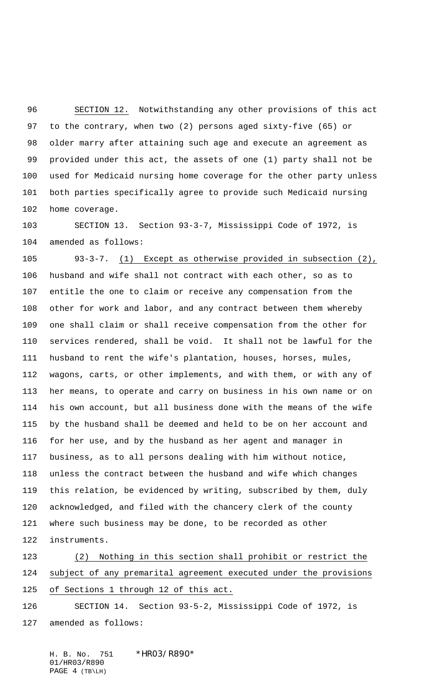SECTION 12. Notwithstanding any other provisions of this act to the contrary, when two (2) persons aged sixty-five (65) or older marry after attaining such age and execute an agreement as provided under this act, the assets of one (1) party shall not be used for Medicaid nursing home coverage for the other party unless both parties specifically agree to provide such Medicaid nursing home coverage.

 SECTION 13. Section 93-3-7, Mississippi Code of 1972, is amended as follows:

 93-3-7. (1) Except as otherwise provided in subsection (2), husband and wife shall not contract with each other, so as to entitle the one to claim or receive any compensation from the other for work and labor, and any contract between them whereby one shall claim or shall receive compensation from the other for services rendered, shall be void. It shall not be lawful for the husband to rent the wife's plantation, houses, horses, mules, wagons, carts, or other implements, and with them, or with any of her means, to operate and carry on business in his own name or on his own account, but all business done with the means of the wife by the husband shall be deemed and held to be on her account and for her use, and by the husband as her agent and manager in business, as to all persons dealing with him without notice, unless the contract between the husband and wife which changes this relation, be evidenced by writing, subscribed by them, duly acknowledged, and filed with the chancery clerk of the county where such business may be done, to be recorded as other instruments.

 (2) Nothing in this section shall prohibit or restrict the subject of any premarital agreement executed under the provisions of Sections 1 through 12 of this act.

 SECTION 14. Section 93-5-2, Mississippi Code of 1972, is amended as follows:

H. B. No. 751 \*HR03/R890\* 01/HR03/R890 PAGE 4 (TB\LH)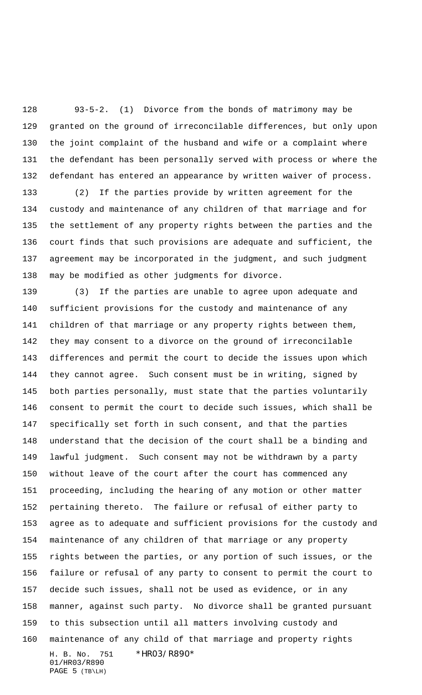93-5-2. (1) Divorce from the bonds of matrimony may be granted on the ground of irreconcilable differences, but only upon the joint complaint of the husband and wife or a complaint where the defendant has been personally served with process or where the defendant has entered an appearance by written waiver of process.

 (2) If the parties provide by written agreement for the custody and maintenance of any children of that marriage and for the settlement of any property rights between the parties and the court finds that such provisions are adequate and sufficient, the agreement may be incorporated in the judgment, and such judgment may be modified as other judgments for divorce.

H. B. No. 751 \*HR03/R890\* 01/HR03/R890 (3) If the parties are unable to agree upon adequate and sufficient provisions for the custody and maintenance of any children of that marriage or any property rights between them, they may consent to a divorce on the ground of irreconcilable differences and permit the court to decide the issues upon which they cannot agree. Such consent must be in writing, signed by both parties personally, must state that the parties voluntarily consent to permit the court to decide such issues, which shall be specifically set forth in such consent, and that the parties understand that the decision of the court shall be a binding and lawful judgment. Such consent may not be withdrawn by a party without leave of the court after the court has commenced any proceeding, including the hearing of any motion or other matter pertaining thereto. The failure or refusal of either party to agree as to adequate and sufficient provisions for the custody and maintenance of any children of that marriage or any property rights between the parties, or any portion of such issues, or the failure or refusal of any party to consent to permit the court to decide such issues, shall not be used as evidence, or in any manner, against such party. No divorce shall be granted pursuant to this subsection until all matters involving custody and maintenance of any child of that marriage and property rights

PAGE 5 (TB\LH)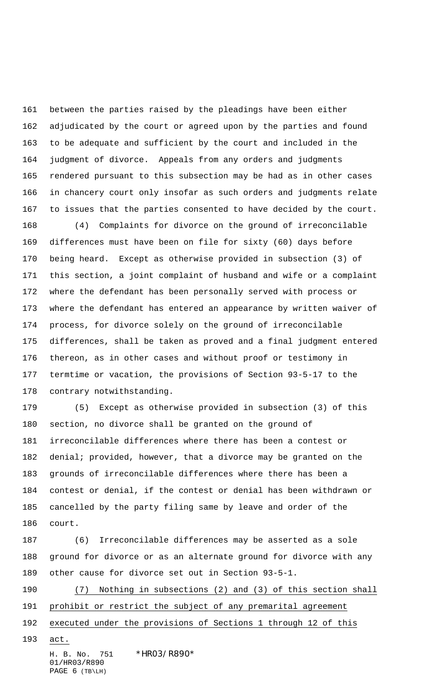between the parties raised by the pleadings have been either adjudicated by the court or agreed upon by the parties and found to be adequate and sufficient by the court and included in the judgment of divorce. Appeals from any orders and judgments rendered pursuant to this subsection may be had as in other cases in chancery court only insofar as such orders and judgments relate to issues that the parties consented to have decided by the court.

 (4) Complaints for divorce on the ground of irreconcilable differences must have been on file for sixty (60) days before being heard. Except as otherwise provided in subsection (3) of this section, a joint complaint of husband and wife or a complaint where the defendant has been personally served with process or where the defendant has entered an appearance by written waiver of process, for divorce solely on the ground of irreconcilable differences, shall be taken as proved and a final judgment entered thereon, as in other cases and without proof or testimony in termtime or vacation, the provisions of Section 93-5-17 to the contrary notwithstanding.

 (5) Except as otherwise provided in subsection (3) of this section, no divorce shall be granted on the ground of irreconcilable differences where there has been a contest or denial; provided, however, that a divorce may be granted on the grounds of irreconcilable differences where there has been a contest or denial, if the contest or denial has been withdrawn or cancelled by the party filing same by leave and order of the court.

 (6) Irreconcilable differences may be asserted as a sole ground for divorce or as an alternate ground for divorce with any other cause for divorce set out in Section 93-5-1.

 (7) Nothing in subsections (2) and (3) of this section shall prohibit or restrict the subject of any premarital agreement

executed under the provisions of Sections 1 through 12 of this

act.

H. B. No. 751 \*HR03/R890\* 01/HR03/R890 PAGE 6 (TB\LH)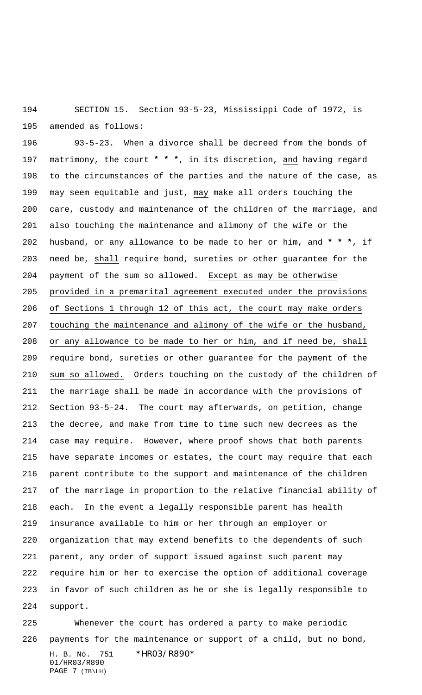SECTION 15. Section 93-5-23, Mississippi Code of 1972, is amended as follows:

 93-5-23. When a divorce shall be decreed from the bonds of matrimony, the court **\* \* \***, in its discretion, and having regard to the circumstances of the parties and the nature of the case, as may seem equitable and just, may make all orders touching the care, custody and maintenance of the children of the marriage, and also touching the maintenance and alimony of the wife or the husband, or any allowance to be made to her or him, and **\* \* \***, if need be, shall require bond, sureties or other guarantee for the 204 payment of the sum so allowed. Except as may be otherwise provided in a premarital agreement executed under the provisions of Sections 1 through 12 of this act, the court may make orders touching the maintenance and alimony of the wife or the husband, or any allowance to be made to her or him, and if need be, shall require bond, sureties or other guarantee for the payment of the sum so allowed. Orders touching on the custody of the children of the marriage shall be made in accordance with the provisions of Section 93-5-24. The court may afterwards, on petition, change the decree, and make from time to time such new decrees as the case may require. However, where proof shows that both parents have separate incomes or estates, the court may require that each parent contribute to the support and maintenance of the children of the marriage in proportion to the relative financial ability of each. In the event a legally responsible parent has health insurance available to him or her through an employer or organization that may extend benefits to the dependents of such parent, any order of support issued against such parent may require him or her to exercise the option of additional coverage in favor of such children as he or she is legally responsible to support.

H. B. No. 751 \*HR03/R890\* 01/HR03/R890 PAGE 7 (TB\LH) Whenever the court has ordered a party to make periodic payments for the maintenance or support of a child, but no bond,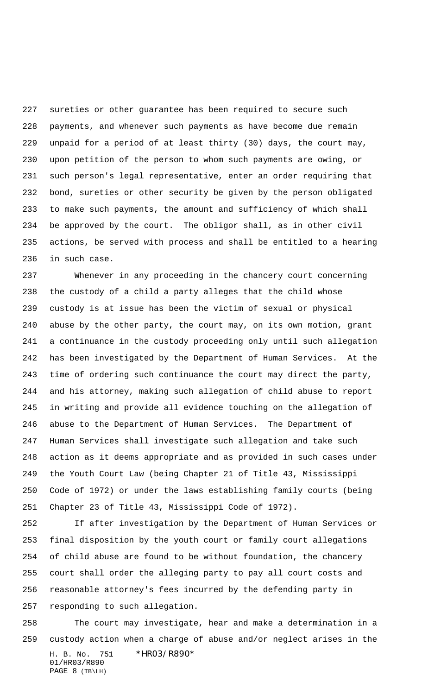sureties or other guarantee has been required to secure such payments, and whenever such payments as have become due remain unpaid for a period of at least thirty (30) days, the court may, upon petition of the person to whom such payments are owing, or such person's legal representative, enter an order requiring that bond, sureties or other security be given by the person obligated to make such payments, the amount and sufficiency of which shall be approved by the court. The obligor shall, as in other civil actions, be served with process and shall be entitled to a hearing in such case.

 Whenever in any proceeding in the chancery court concerning the custody of a child a party alleges that the child whose custody is at issue has been the victim of sexual or physical abuse by the other party, the court may, on its own motion, grant a continuance in the custody proceeding only until such allegation has been investigated by the Department of Human Services. At the time of ordering such continuance the court may direct the party, and his attorney, making such allegation of child abuse to report in writing and provide all evidence touching on the allegation of abuse to the Department of Human Services. The Department of Human Services shall investigate such allegation and take such action as it deems appropriate and as provided in such cases under the Youth Court Law (being Chapter 21 of Title 43, Mississippi Code of 1972) or under the laws establishing family courts (being Chapter 23 of Title 43, Mississippi Code of 1972).

 If after investigation by the Department of Human Services or final disposition by the youth court or family court allegations of child abuse are found to be without foundation, the chancery court shall order the alleging party to pay all court costs and reasonable attorney's fees incurred by the defending party in responding to such allegation.

H. B. No. 751 \*HR03/R890\* 01/HR03/R890 PAGE 8 (TB\LH) The court may investigate, hear and make a determination in a custody action when a charge of abuse and/or neglect arises in the